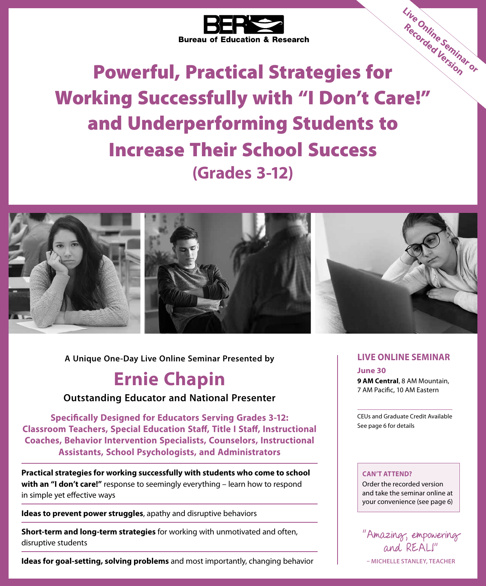

Powerful, Practical Strategies for Working Successfully with "I Don't Care!" and Underperforming Students to Increase Their School Success **(Grades 3‑12) Live Online Seminar or Recorded Version**



**A Unique One-Day Live Online Seminar Presented by**

# **Ernie Chapin**

# **Outstanding Educator and National Presenter**

**Specifically Designed for Educators Serving Grades 3‑12: Classroom Teachers, Special Education Staff, Title I Staff, Instructional Coaches, Behavior Intervention Specialists, Counselors, Instructional Assistants, School Psychologists, and Administrators**

**Practical strategies for working successfully with students who come to school with an "I don't care!"** response to seemingly everything – learn how to respond in simple yet effective ways

**Ideas to prevent power struggles**, apathy and disruptive behaviors

**Short-term and long-term strategies** for working with unmotivated and often, disruptive students

**Ideas for goal-setting, solving problems** and most importantly, changing behavior

## **LIVE ONLINE SEMINAR**

**June 30**

**9 AM Central**, 8 AM Mountain, 7 AM Pacific, 10 AM Eastern

CEUs and Graduate Credit Available See page 6 for details

#### **CAN'T ATTEND?**

Order the recorded version and take the seminar online at your convenience (see page 6)

"Amazing, empowering and REAL!" **– MICHELLE STANLEY, TEACHER**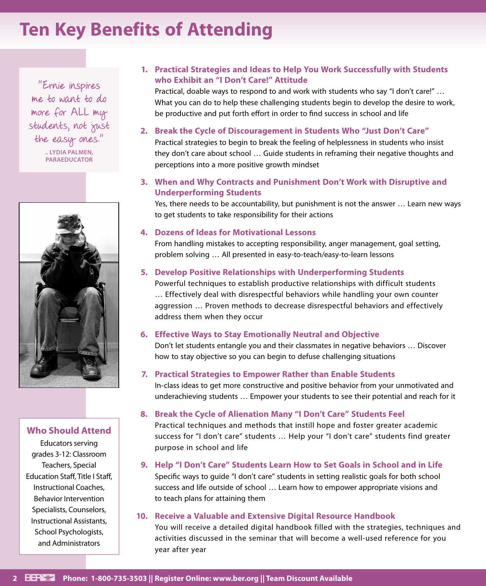# **Ten Key Benefits of Attending**

"Ernie inspires me to want to do more for ALL my students, not just the easy ones." **– LYDIA PALMEN, PARAEDUCATOR**



#### **Who Should Attend**

Educators serving grades 3‑12: Classroom Teachers, Special Education Staff, Title I Staff, Instructional Coaches, Behavior Intervention Specialists, Counselors, Instructional Assistants, School Psychologists, and Administrators

## **1. Practical Strategies and Ideas to Help You Work Successfully with Students who Exhibit an "I Don't Care!" Attitude**

Practical, doable ways to respond to and work with students who say "I don't care!" ... What you can do to help these challenging students begin to develop the desire to work, be productive and put forth effort in order to find success in school and life

## **2. Break the Cycle of Discouragement in Students Who "Just Don't Care"**

Practical strategies to begin to break the feeling of helplessness in students who insist they don't care about school … Guide students in reframing their negative thoughts and perceptions into a more positive growth mindset

## **3. When and Why Contracts and Punishment Don't Work with Disruptive and Underperforming Students**

Yes, there needs to be accountability, but punishment is not the answer … Learn new ways to get students to take responsibility for their actions

#### **4. Dozens of Ideas for Motivational Lessons**

From handling mistakes to accepting responsibility, anger management, goal setting, problem solving … All presented in easy-to-teach/easy-to-learn lessons

### **5. Develop Positive Relationships with Underperforming Students**

Powerful techniques to establish productive relationships with difficult students … Effectively deal with disrespectful behaviors while handling your own counter aggression … Proven methods to decrease disrespectful behaviors and effectively address them when they occur

### **6. Effective Ways to Stay Emotionally Neutral and Objective**

Don't let students entangle you and their classmates in negative behaviors … Discover how to stay objective so you can begin to defuse challenging situations

### **7. Practical Strategies to Empower Rather than Enable Students**

In‑class ideas to get more constructive and positive behavior from your unmotivated and underachieving students … Empower your students to see their potential and reach for it

### **8. Break the Cycle of Alienation Many "I Don't Care" Students Feel**

Practical techniques and methods that instill hope and foster greater academic success for "I don't care" students … Help your "I don't care" students find greater purpose in school and life

## **9. Help "I Don't Care" Students Learn How to Set Goals in School and in Life**

Specific ways to guide "I don't care" students in setting realistic goals for both school success and life outside of school … Learn how to empower appropriate visions and to teach plans for attaining them

### **10. Receive a Valuable and Extensive Digital Resource Handbook**

You will receive a detailed digital handbook filled with the strategies, techniques and activities discussed in the seminar that will become a well‑used reference for you year after year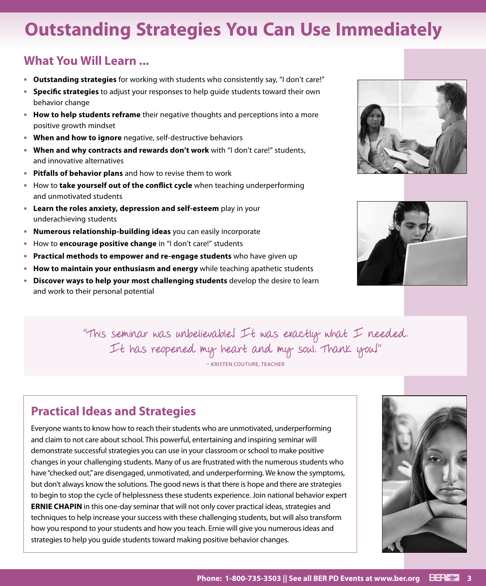# **Outstanding Strategies You Can Use Immediately**

# **What You Will Learn ...**

- **• Outstanding strategies** for working with students who consistently say, "I don't care!"
- **• Specific strategies** to adjust your responses to help guide students toward their own behavior change
- **• How to help students reframe** their negative thoughts and perceptions into a more positive growth mindset
- **• When and how to ignore** negative, self‑destructive behaviors
- **• When and why contracts and rewards don't work** with "I don't care!" students, and innovative alternatives
- **• Pitfalls of behavior plans** and how to revise them to work
- **•** How to **take yourself out of the conflict cycle** when teaching underperforming and unmotivated students
- **• Learn the roles anxiety, depression and self‑esteem** play in your underachieving students
- **• Numerous relationship‑building ideas** you can easily incorporate
- **•** How to **encourage positive change** in "I don't care!" students
- **• Practical methods to empower and re-engage students** who have given up
- **• How to maintain your enthusiasm and energy** while teaching apathetic students
- **• Discover ways to help your most challenging students** develop the desire to learn and work to their personal potential





"This seminar was unbelievable! It was exactly what I needed. It has reopened my heart and my soul. Thank you!" **– KRISTEN COUTURE, TEACHER**

# **Practical Ideas and Strategies**

Everyone wants to know how to reach their students who are unmotivated, underperforming and claim to not care about school. This powerful, entertaining and inspiring seminar will demonstrate successful strategies you can use in your classroom or school to make positive changes in your challenging students. Many of us are frustrated with the numerous students who have "checked out," are disengaged, unmotivated, and underperforming. We know the symptoms, but don't always know the solutions. The good news is that there is hope and there are strategies to begin to stop the cycle of helplessness these students experience. Join national behavior expert **ERNIE CHAPIN** in this one-day seminar that will not only cover practical ideas, strategies and techniques to help increase your success with these challenging students, but will also transform how you respond to your students and how you teach. Ernie will give you numerous ideas and strategies to help you guide students toward making positive behavior changes.

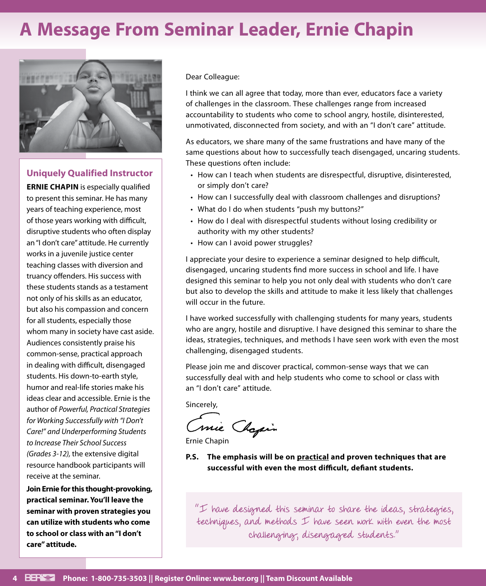# **A Message From Seminar Leader, Ernie Chapin**



### **Uniquely Qualified Instructor**

**ERNIE CHAPIN** is especially qualified to present this seminar. He has many years of teaching experience, most of those years working with difficult, disruptive students who often display an "I don't care" attitude. He currently works in a juvenile justice center teaching classes with diversion and truancy offenders. His success with these students stands as a testament not only of his skills as an educator, but also his compassion and concern for all students, especially those whom many in society have cast aside. Audiences consistently praise his common‑sense, practical approach in dealing with difficult, disengaged students. His down-to-earth style, humor and real-life stories make his ideas clear and accessible. Ernie is the author of *Powerful, Practical Strategies for Working Successfully with "I Don't Care!" and Underperforming Students to Increase Their School Success (Grades 3-12),* the extensive digital resource handbook participants will receive at the seminar.

**Join Ernie for this thought‑provoking, practical seminar. You'll leave the seminar with proven strategies you can utilize with students who come to school or class with an "I don't care" attitude.**

Dear Colleague:

I think we can all agree that today, more than ever, educators face a variety of challenges in the classroom. These challenges range from increased accountability to students who come to school angry, hostile, disinterested, unmotivated, disconnected from society, and with an "I don't care" attitude.

As educators, we share many of the same frustrations and have many of the same questions about how to successfully teach disengaged, uncaring students. These questions often include:

- How can I teach when students are disrespectful, disruptive, disinterested, or simply don't care?
- How can I successfully deal with classroom challenges and disruptions?
- What do I do when students "push my buttons?"
- How do I deal with disrespectful students without losing credibility or authority with my other students?
- How can I avoid power struggles?

I appreciate your desire to experience a seminar designed to help difficult, disengaged, uncaring students find more success in school and life. I have designed this seminar to help you not only deal with students who don't care but also to develop the skills and attitude to make it less likely that challenges will occur in the future.

I have worked successfully with challenging students for many years, students who are angry, hostile and disruptive. I have designed this seminar to share the ideas, strategies, techniques, and methods I have seen work with even the most challenging, disengaged students.

Please join me and discover practical, common-sense ways that we can successfully deal with and help students who come to school or class with an "I don't care" attitude.

Sincerely,

Conie Chapin

Ernie Chapin

**P.S. The emphasis will be on practical and proven techniques that are successful with even the most difficult, defiant students.**

"I have designed this seminar to share the ideas, strategies, techniques, and methods I have seen work with even the most challenging, disengaged students."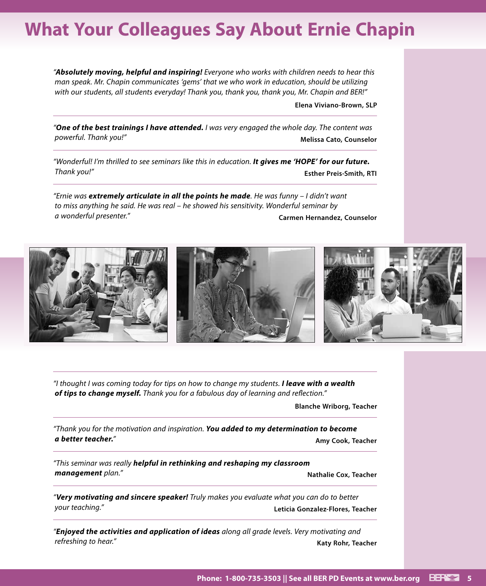# **What Your Colleagues Say About Ernie Chapin**

*"Absolutely moving, helpful and inspiring! Everyone who works with children needs to hear this man speak. Mr. Chapin communicates 'gems' that we who work in education, should be utilizing with our students, all students everyday! Thank you, thank you, thank you, Mr. Chapin and BER!"*

**Elena Viviano-Brown, SLP**

*"One of the best trainings I have attended. I was very engaged the whole day. The content was powerful. Thank you!"* **Melissa Cato, Counselor**

*"Wonderful! I'm thrilled to see seminars like this in education. It gives me 'HOPE' for our future. Thank you!"* **Esther Preis-Smith, RTI**

*"Ernie was extremely articulate in all the points he made. He was funny – I didn't want to miss anything he said. He was real – he showed his sensitivity. Wonderful seminar by a wonderful presenter."* **Carmen Hernandez, Counselor**



*"I thought I was coming today for tips on how to change my students. I leave with a wealth of tips to change myself. Thank you for a fabulous day of learning and reflection."*

**Blanche Wriborg, Teacher**

*"Thank you for the motivation and inspiration. You added to my determination to become a better teacher."* **Amy Cook, Teacher**

*"This seminar was really helpful in rethinking and reshaping my classroom*  **management** plan." **National Community Community Community Community Community Properties and Mathalie Cox, Teacher** 

*"Very motivating and sincere speaker! Truly makes you evaluate what you can do to better your teaching."* **Leticia Gonzalez-Flores, Teacher**

*"Enjoyed the activities and application of ideas along all grade levels. Very motivating and refreshing to hear.* **" <b>Katy Rohr, Teacher Katy Rohr, Teacher Katy Rohr, Teacher**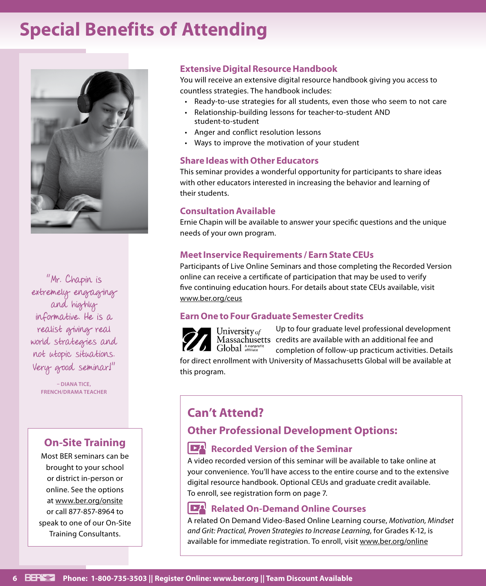# **Special Benefits of Attending**



"Mr. Chapin is extremely engaging and highly informative. He is a realist giving real world strategies and not utopic situations. Very good seminar!"

> **– DIANA TICE, FRENCH/DRAMA TEACHER**

# **On‑Site Training**

Most BER seminars can be brought to your school or district in-person or online. See the options at www.ber.org/onsite or call 877‑857‑8964 to speak to one of our On‑Site Training Consultants.

# **Extensive Digital Resource Handbook**

You will receive an extensive digital resource handbook giving you access to countless strategies. The handbook includes:

- Ready-to-use strategies for all students, even those who seem to not care
- Relationship-building lessons for teacher-to-student AND student‑to‑student
- Anger and conflict resolution lessons
- Ways to improve the motivation of your student

### **Share Ideas with Other Educators**

This seminar provides a wonderful opportunity for participants to share ideas with other educators interested in increasing the behavior and learning of their students.

### **Consultation Available**

Ernie Chapin will be available to answer your specific questions and the unique needs of your own program.

## **Meet Inservice Requirements / Earn State CEUs**

Participants of Live Online Seminars and those completing the Recorded Version online can receive a certificate of participation that may be used to verify five continuing education hours. For details about state CEUs available, visit www.ber.org/ceus

# **Earn One to Four Graduate Semester Credits**

Up to four graduate level professional development University of Massachusetts credits are available with an additional fee and Global Anonprofit completion of follow‑up practicum activities. Details

for direct enrollment with University of Massachusetts Global will be available at this program.

# **Can't Attend?**

# **Other Professional Development Options:**

# **Recorded Version of the Seminar**

A video recorded version of this seminar will be available to take online at your convenience. You'll have access to the entire course and to the extensive digital resource handbook. Optional CEUs and graduate credit available. To enroll, see registration form on page 7.

# **Related On-Demand Online Courses**

A related On Demand Video-Based Online Learning course, *Motivation, Mindset and Grit: Practical, Proven Strategies to Increase Learning*, for Grades K-12, is available for immediate registration. To enroll, visit www.ber.org/online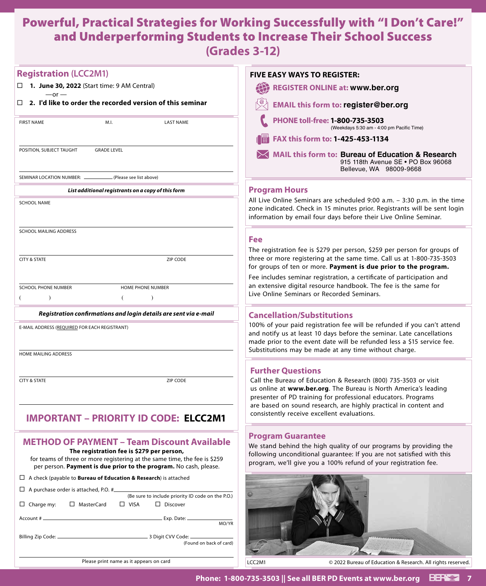# Powerful, Practical Strategies for Working Successfully with "I Don't Care!" and Underperforming Students to Increase Their School Success **(Grades 3‑12)**

| <b>Registration (LCC2M1)</b>                                                                                                                                                                                                                      | <b>FIVE EASY WAYS TO REGISTER:</b>                                                                                                                                                                                                                                                  |
|---------------------------------------------------------------------------------------------------------------------------------------------------------------------------------------------------------------------------------------------------|-------------------------------------------------------------------------------------------------------------------------------------------------------------------------------------------------------------------------------------------------------------------------------------|
| $\Box$ 1. June 30, 2022 (Start time: 9 AM Central)<br>$-$ or $-$                                                                                                                                                                                  | 42<br><b>REGISTER ONLINE at: www.ber.org</b>                                                                                                                                                                                                                                        |
| $\Box$ 2. I'd like to order the recorded version of this seminar                                                                                                                                                                                  | <b>EMAIL this form to: register@ber.org</b>                                                                                                                                                                                                                                         |
| M.I.<br><b>LAST NAME</b><br><b>FIRST NAME</b>                                                                                                                                                                                                     | PHONE toll-free: 1-800-735-3503<br>(Weekdays 5:30 am - 4:00 pm Pacific Time)                                                                                                                                                                                                        |
|                                                                                                                                                                                                                                                   | FAX this form to: 1-425-453-1134                                                                                                                                                                                                                                                    |
| POSITION, SUBJECT TAUGHT<br><b>GRADE LEVEL</b>                                                                                                                                                                                                    | <b>MAIL this form to: Bureau of Education &amp; Research</b><br>915 118th Avenue SE . PO Box 96068<br>Bellevue, WA 98009-9668                                                                                                                                                       |
| SEMINAR LOCATION NUMBER:<br>(Please see list above)                                                                                                                                                                                               |                                                                                                                                                                                                                                                                                     |
| List additional registrants on a copy of this form                                                                                                                                                                                                | <b>Program Hours</b>                                                                                                                                                                                                                                                                |
| <b>SCHOOL NAME</b>                                                                                                                                                                                                                                | All Live Online Seminars are scheduled 9:00 a.m. - 3:30 p.m. in the time<br>zone indicated. Check in 15 minutes prior. Registrants will be sent login<br>information by email four days before their Live Online Seminar.                                                           |
| SCHOOL MAILING ADDRESS                                                                                                                                                                                                                            |                                                                                                                                                                                                                                                                                     |
|                                                                                                                                                                                                                                                   | <b>Fee</b><br>The registration fee is \$279 per person, \$259 per person for groups of                                                                                                                                                                                              |
| <b>CITY &amp; STATE</b><br>ZIP CODE                                                                                                                                                                                                               | three or more registering at the same time. Call us at 1-800-735-3503<br>for groups of ten or more. Payment is due prior to the program.                                                                                                                                            |
|                                                                                                                                                                                                                                                   | Fee includes seminar registration, a certificate of participation and                                                                                                                                                                                                               |
| <b>SCHOOL PHONE NUMBER</b><br>HOME PHONE NUMBER<br>$\lambda$                                                                                                                                                                                      | an extensive digital resource handbook. The fee is the same for<br>Live Online Seminars or Recorded Seminars.                                                                                                                                                                       |
| - 6                                                                                                                                                                                                                                               |                                                                                                                                                                                                                                                                                     |
| Registration confirmations and login details are sent via e-mail                                                                                                                                                                                  | <b>Cancellation/Substitutions</b>                                                                                                                                                                                                                                                   |
| E-MAIL ADDRESS (REQUIRED FOR EACH REGISTRANT)                                                                                                                                                                                                     | 100% of your paid registration fee will be refunded if you can't attend<br>and notify us at least 10 days before the seminar. Late cancellations<br>made prior to the event date will be refunded less a \$15 service fee.<br>Substitutions may be made at any time without charge. |
| HOME MAILING ADDRESS                                                                                                                                                                                                                              |                                                                                                                                                                                                                                                                                     |
|                                                                                                                                                                                                                                                   | <b>Further Questions</b>                                                                                                                                                                                                                                                            |
| <b>CITY &amp; STATE</b><br>ZIP CODE                                                                                                                                                                                                               | Call the Bureau of Education & Research (800) 735-3503 or visit<br>us online at www.ber.org. The Bureau is North America's leading<br>presenter of PD training for professional educators. Programs<br>are based on sound research, are highly practical in content and             |
| <b>IMPORTANT - PRIORITY ID CODE: ELCC2M1</b>                                                                                                                                                                                                      | consistently receive excellent evaluations.                                                                                                                                                                                                                                         |
| <b>METHOD OF PAYMENT - Team Discount Available</b><br>The registration fee is \$279 per person,<br>for teams of three or more registering at the same time, the fee is \$259<br>per person. Payment is due prior to the program. No cash, please. | <b>Program Guarantee</b><br>We stand behind the high quality of our programs by providing the<br>following unconditional guarantee: If you are not satisfied with this<br>program, we'll give you a 100% refund of your registration fee.                                           |
| $\Box$ A check (payable to <b>Bureau of Education &amp; Research</b> ) is attached                                                                                                                                                                |                                                                                                                                                                                                                                                                                     |
| $\Box$ A purchase order is attached, P.O. # $\Box$<br>(Be sure to include priority ID code on the P.O.)<br>□ MasterCard<br>$\Box$ VISA<br>$\Box$ Discover<br>$\Box$ Charge my:                                                                    |                                                                                                                                                                                                                                                                                     |
| Exp. Date:<br>Account #                                                                                                                                                                                                                           |                                                                                                                                                                                                                                                                                     |
| MO/YR                                                                                                                                                                                                                                             |                                                                                                                                                                                                                                                                                     |
| (Found on back of card)                                                                                                                                                                                                                           |                                                                                                                                                                                                                                                                                     |
| Please print name as it appears on card                                                                                                                                                                                                           | LCC2M1<br>© 2022 Bureau of Education & Research. All rights reserved.                                                                                                                                                                                                               |